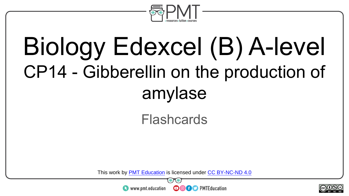

# Biology Edexcel (B) A-level CP14 - Gibberellin on the production of amylase

#### **Flashcards**

This work by <u>PMT Education</u> is licensed under CC BY-NC-ND 4.0<br>
www.pmt.education **in the CO CO** PMTEducation



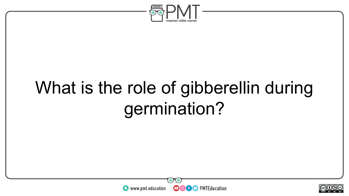

# What is the role of gibberellin during germination?



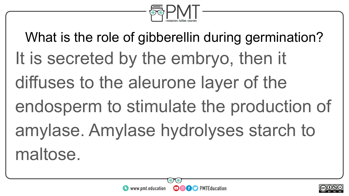

What is the role of gibberellin during germination? It is secreted by the embryo, then it diffuses to the aleurone layer of the endosperm to stimulate the production of amylase. Amylase hydrolyses starch to maltose.



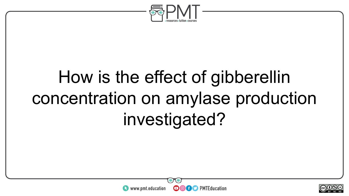

# How is the effect of gibberellin concentration on amylase production investigated?



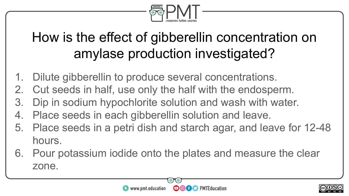

### How is the effect of gibberellin concentration on amylase production investigated?

- 1. Dilute gibberellin to produce several concentrations.
- 2. Cut seeds in half, use only the half with the endosperm.
- 3. Dip in sodium hypochlorite solution and wash with water.
- 4. Place seeds in each gibberellin solution and leave.
- 5. Place seeds in a petri dish and starch agar, and leave for 12-48 hours.
- 6. Pour potassium iodide onto the plates and measure the clear zone.



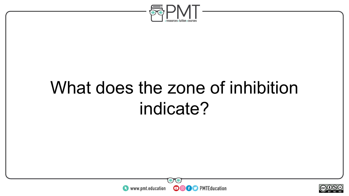

### What does the zone of inhibition indicate?



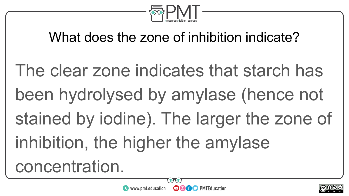

### What does the zone of inhibition indicate?

The clear zone indicates that starch has been hydrolysed by amylase (hence not stained by iodine). The larger the zone of inhibition, the higher the amylase concentration.



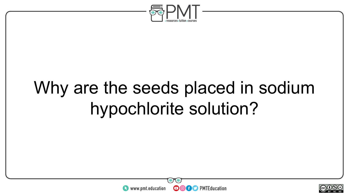

## Why are the seeds placed in sodium hypochlorite solution?



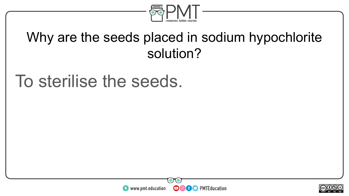

#### Why are the seeds placed in sodium hypochlorite solution?

### To sterilise the seeds.



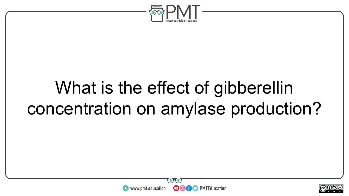

## What is the effect of gibberellin concentration on amylase production?



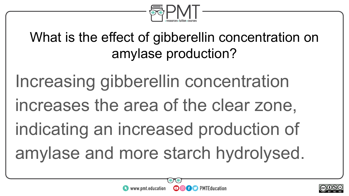

### What is the effect of gibberellin concentration on amylase production?

Increasing gibberellin concentration increases the area of the clear zone, indicating an increased production of amylase and more starch hydrolysed.



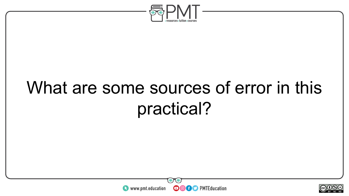

## What are some sources of error in this practical?



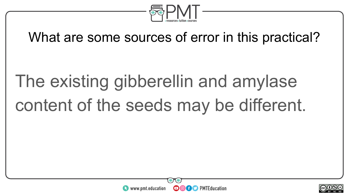

#### What are some sources of error in this practical?

# The existing gibberellin and amylase content of the seeds may be different.



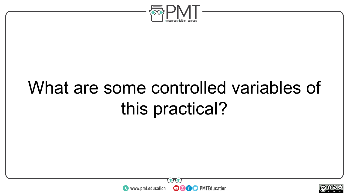

## What are some controlled variables of this practical?